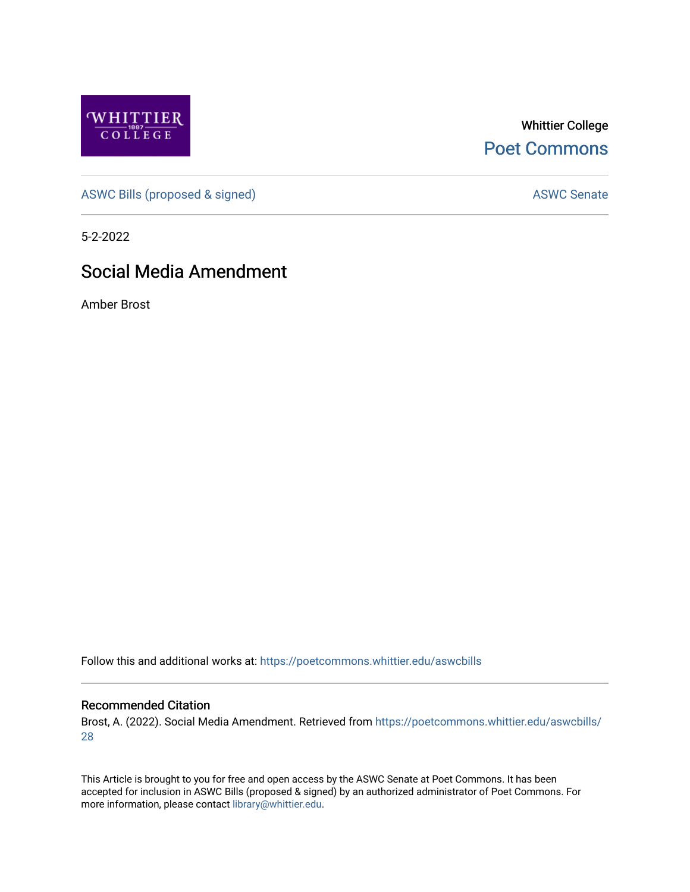

Whittier College [Poet Commons](https://poetcommons.whittier.edu/) 

[ASWC Bills \(proposed & signed\)](https://poetcommons.whittier.edu/aswcbills) ASWC Senate

5-2-2022

# Social Media Amendment

Amber Brost

Follow this and additional works at: [https://poetcommons.whittier.edu/aswcbills](https://poetcommons.whittier.edu/aswcbills?utm_source=poetcommons.whittier.edu%2Faswcbills%2F28&utm_medium=PDF&utm_campaign=PDFCoverPages) 

#### Recommended Citation

Brost, A. (2022). Social Media Amendment. Retrieved from [https://poetcommons.whittier.edu/aswcbills/](https://poetcommons.whittier.edu/aswcbills/28?utm_source=poetcommons.whittier.edu%2Faswcbills%2F28&utm_medium=PDF&utm_campaign=PDFCoverPages) [28](https://poetcommons.whittier.edu/aswcbills/28?utm_source=poetcommons.whittier.edu%2Faswcbills%2F28&utm_medium=PDF&utm_campaign=PDFCoverPages)

This Article is brought to you for free and open access by the ASWC Senate at Poet Commons. It has been accepted for inclusion in ASWC Bills (proposed & signed) by an authorized administrator of Poet Commons. For more information, please contact [library@whittier.edu.](mailto:library@whittier.edu)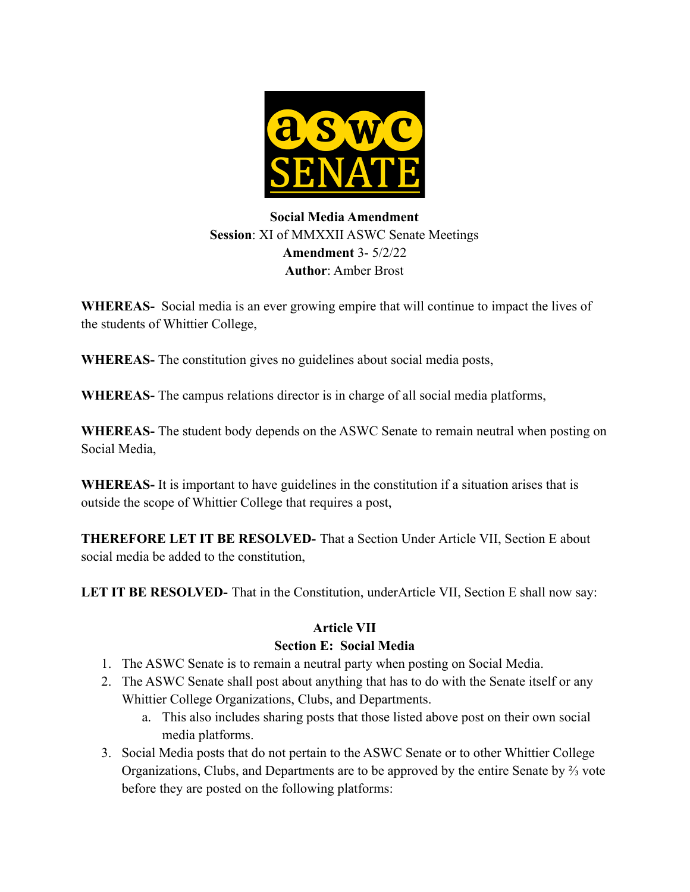

## **Social Media Amendment Session**: XI of MMXXII ASWC Senate Meetings **Amendment** 3- 5/2/22 **Author**: Amber Brost

**WHEREAS-** Social media is an ever growing empire that will continue to impact the lives of the students of Whittier College,

**WHEREAS-** The constitution gives no guidelines about social media posts,

**WHEREAS-** The campus relations director is in charge of all social media platforms,

**WHEREAS-** The student body depends on the ASWC Senate to remain neutral when posting on Social Media,

**WHEREAS-** It is important to have guidelines in the constitution if a situation arises that is outside the scope of Whittier College that requires a post,

**THEREFORE LET IT BE RESOLVED-** That a Section Under Article VII, Section E about social media be added to the constitution,

LET IT BE RESOLVED- That in the Constitution, underArticle VII, Section E shall now say:

### **Article VII**

#### **Section E: Social Media**

- 1. The ASWC Senate is to remain a neutral party when posting on Social Media.
- 2. The ASWC Senate shall post about anything that has to do with the Senate itself or any Whittier College Organizations, Clubs, and Departments.
	- a. This also includes sharing posts that those listed above post on their own social media platforms.
- 3. Social Media posts that do not pertain to the ASWC Senate or to other Whittier College Organizations, Clubs, and Departments are to be approved by the entire Senate by ⅔ vote before they are posted on the following platforms: